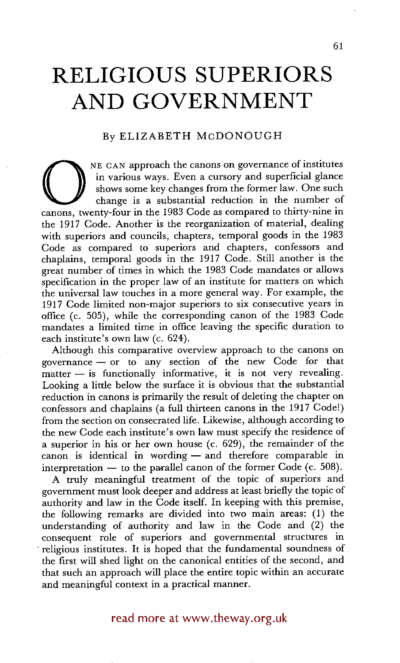# **RELIGIOUS SUPERIORS AND GOVERNMENT**

## By ELIZABETH McDONOUGH

NE CAN approach the canons on governance of institutes<br>
in various ways. Even a cursory and superficial glance<br>
change is a substantial reduction in the number of<br>
canons, twenty-four in the 1983 Code as compared to thirty in various ways. Even a cursory and superficial glance shows some key changes from the former law. One such change is a substantial reduction in the number of the 1917 Code. Another is the reorganization of material, dealing with superiors and councils, chapters, temporal goods in the 1983 Code as compared to superiors and chapters, confessors and chaplains, temporal goods in the 1917 Code. Still another is the great number of times in which the 1983 Code mandates or allows specification in the proper law of an institute for matters on which the universal law touches in a more general way. For example, the 1917 Code limited non-major superiors to six consecutive years in office (c. 505), while the corresponding canon of the 1983 Code mandates a limited time in office leaving the specific duration to each institute's own law (c. 624).

Although this comparative overview approach to the canons on governance  $-$  or to any section of the new Code for that  $matter - is functionally informative, it is not very revealing.$ Looking a little below the surface it is obvious that the substantial reduction in canons is primarily the result of deleting the chapter on confessors and chaplains (a full thirteen canons in the 1917 Code!) from the section on consecrated life. Likewise, although according to the new Code each institute's own law must specify the residence of a superior in his or her own house (c. 629), the remainder of the canon is identical in wording- and therefore comparable in interpretation  $-$  to the parallel canon of the former Code (c. 508).

A truly meaningful treatment of the topic of superiors and government must look deeper and address at least briefly the topic of authority and law in the Code itself. In keeping with this premise, the following remarks are divided into two main areas: (1) the understanding of authority and law in the Code and (2) the consequent role of superiors and governmental structures in religious institutes. It is hoped that the fundamental soundness of the first will shed light on the canonical entities of the second, and that such an approach will place the entire topic within an accurate and meaningful context in a practical manner.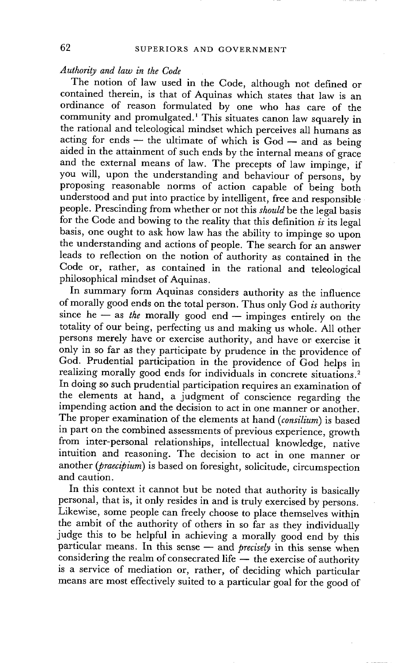## *Authority and law in the Code*

The notion of law used in the Code, although not defined or contained therein, is that of Aquinas which states that law is an ordinance of reason formulated by one who has care of the community and promulgated.1 This situates canon law squarely in the rational and teleological mindset which perceives all humans as acting for ends -- the ultimate of which is  $God - and$  as being aided in the attainment of such ends by the internal means of grace and the external means of law. The precepts of law impinge, if you will, upon the understanding and behaviour of persons, by proposing reasonable norms of action capable of being both understood and put into practice by intelligent, free and responsible people. Prescinding from whether or not this *should* be the legal basis for the Code and bowing to the reality that this definition *is* its legal basis, one ought to ask how law has the ability to impinge so upon the understanding and actions of people. The search for an answer leads to reflection on the notion of authority as contained in the Code or, rather, as contained in the rational and teleological philosophical mindset of Aquinas.

In summary form Aquinas considers authority as the influence of morally good ends on the total person. Thus only God *is* authority since he - as *the* morally good end - impinges entirely on the totality of our being, perfecting us and making us whole. All other persons merely have or exercise authority, and have or exercise it only in so far as they participate by prudence in the providence of God. Prudential participation in the providence of God helps in realizing morally good ends for individuals in concrete situations.<sup>2</sup> In doing so such prudential participation requires an examination of the elements at hand, a judgment of conscience regarding the impending action and the decision to act in one manner or another. The proper examination of the elements at hand *(consilium)* is based in part on the combined assessments of previous experience, growth from inter-personal relationships, intellectual knowledge, native intuition and reasoning. The decision to act in one manner or another *(praecipiurn)* is based on foresight, solicitude, circumspection and caution.

In this context it cannot but be noted that authority is basically personal, that is, it only resides in and is truly exercised by persons. Likewise, some people can freely choose to place themselves within the ambit of the authority of others in so far as they individually judge this to be helpful in achieving a morally good end by this particular means. In this sense -- and *precisely* in this sense when considering the realm of consecrated life  $-$  the exercise of authority is a service of mediation or, rather, of deciding which particular means are most effectively suited to a particular goal for the good of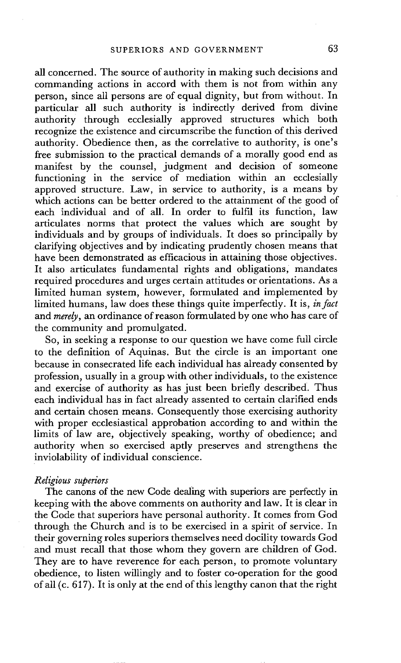all concerned. The source of authority in making such decisions and commanding actions in accord with them is not from within any person, since all persons are of equal dignity, but from without. In particular all such authority is indirectly derived from divine authority through ecclesially approved structures which both recognize the existence and circumscribe the function of this derived authority. Obedience then, as the correlative to authority, is one's free submission to the practical demands of a morally good end as manifest by the counsel, judgment and decision of someone functioning in the service of mediation within an ecclesially approved structure. Law, in service to authority, is a means by which actions can be better ordered to the attainment of the good of each individual and of all. In order to fulfil its function, law articulates norms that protect the values which are sought by individuals and by groups of individuals. It does so principally by clarifying objectives and by indicating prudently chosen means that have been demonstrated as efficacious in attaining those objectives. It also articulates fundamental rights and obligations, mandates required procedures and urges certain attitudes or orientations. As a limited human system, however, formulated and implemented by limited humans, law does these things quite imperfectly. It is, *in fact*  and *merely,* an ordinance of reason formulated by one who has care of the community and promulgated.

So, in seeking a response to our question we have come full circle to the definition of Aquinas. But the circle is an important one because in consecrated life each individual has already consented by profession, usually in a group with other individuals, to the existence and exercise of authority as has just been briefly described. Thus each individual has in fact already assented to certain clarified ends and certain chosen means. Consequently those exercising authority with proper ecclesiastical approbation according to and within the limits of law are, objectively speaking, worthy of obedience; and authority when so exercised aptly preserves and strengthens the inviolability of individual conscience.

### *Rdigious superiors*

The canons of the new Code dealing with superiors are perfectly in keeping with the above comments on authority and law. It is clear in the Code that superiors have personal authority. It comes from God through the Church and is to be exercised in a spirit of service. In their governing roles superiors themselves need docility towards God and must recall that those whom they govern are children of God. They are to have reverence for each person, to promote voluntary obedience, to listen willingly and to foster co-operation for the good of all (c. 617). It is only at the end of this lengthy canon that the right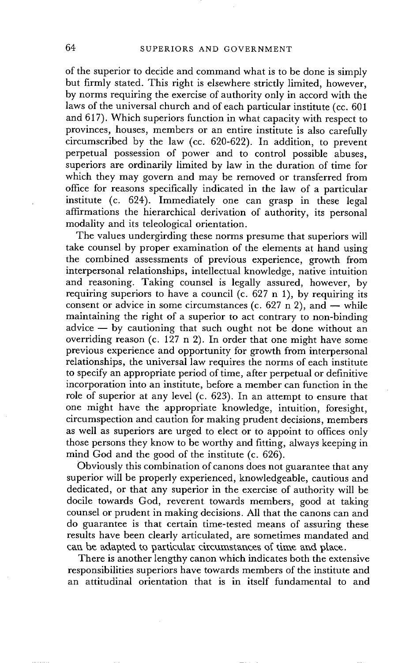of the superior to decide and command what is to be done is simply but firmly stated. This right is elsewhere strictly limited, however, by norms requiring the exercise of authority only in accord with the laws of the universal church and of each particular institute (cc. 601 and 617). Which superiors function in what capacity with respect to provinces, houses, members or an entire institute is also carefully circumscribed by the law (cc. 620-622). In addition, to prevent perpetual possession of power and to control possible abuses, superiors are ordinarily limited by law in the duration of time for which they may govern and may be removed or transferred from office for reasons specifically indicated in the law of a particular institute (c. 624). Immediately one can grasp in these legal affirmations the hierarchical derivation of authority, its personal modality and its teleological orientation.

The values undergirding these norms presume that superiors will take counsel by proper examination of the elements at hand using the combined assessments of previous experience, growth from interpersonal relationships, intellectual knowledge, native intuition and reasoning. Taking counsel is legally assured, however, by requiring superiors to have a council (c.  $627 \text{ n } 1$ ), by requiring its consent or advice in some circumstances (c. 627 n 2), and  $-$  while maintaining the right of a superior to act contrary to non-binding  $\alpha$  advice  $-$  by cautioning that such ought not be done without an overriding reason (c. 127 n 2). In order that one might have some previous experience and opportunity for growth from interpersonal relationships, the universal law requires the norms of each institute to specify an appropriate period of time, after perpetual or definitive incorporation into an institute, before a member can function in the role of superior at any level (c. 623). In an attempt to ensure that one might have the appropriate knowledge, intuition, foresight, circumspection and caution for making prudent decisions, members as well as superiors are urged to elect or to appoint to offices only those persons they know to be worthy and fitting, always keeping in mind God and the good of the institute (c. 626).

Obviously this combination of canons does not guarantee that any superior will be properly experienced, knowledgeable, cautious and dedicated, or that any superior in the exercise of authority will be docile towards God, reverent towards members, good at taking counsel or prudent in making decisions. All that the canons can and do guarantee is that certain time-tested means of assuring these results have been clearly articulated, are sometimes mandated and can be adapted to particular circumstances of time and place.

There is another lengthy canon which indicates both the extensive responsibilities superiors have towards members of the institute and an attitudinal orientation that is in itself fundamental to and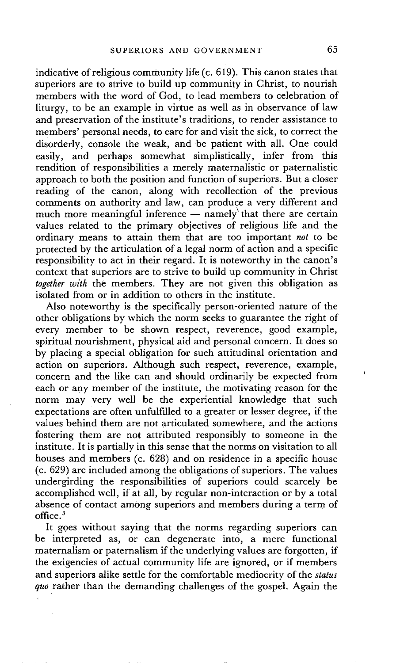indicative of religious community life (c. 619). This canon states that superiors are to strive to build up community in Christ, to nourish members with the word of God, to lead members to celebration of liturgy, to be an example in virtue as well as in observance of law and preservation of the institute's traditions, to render assistance to members' personal needs, to care for and visit the sick, to correct the disorderly, console the weak, and be patient with all. One could easily, and perhaps somewhat simplistically, infer from this rendition of responsibilities a merely maternalistic or paternalistic approach to both the position and function of superiors. But a closer reading of the canon, along with recollection of the previous comments on authority and law, can produce a very different and much more meaningful inference  $-$  namely that there are certain values related to the primary objectives of religious life and the ordinary means to attain them that are too important *not* to be protected by the articulation of a legal norm of action and a specific responsibility to act in their regard. It is noteworthy in the canon's context that superiors are to strive to build up community in Christ *together with* the members. They are not given this obligation as isolated from or in addition to others in the institute.

Also noteworthy is the specifically person-oriented nature of the other obligations by which the norm seeks to guarantee the right of every member to be shown respect, reverence, good example, spiritual nourishment, physical aid and personal concern. It does so by placing a special obligation for such attitudinal orientation and action on superiors. Although such respect, reverence, example, concern and the like can and should ordinarily be expected from each or any member of the institute, the motivating reason for the norm may very well be the experiential knowledge that such expectations are often unfulfilled to a greater or lesser degree, if the values behind them are not articulated somewhere, and the actions fostering them are not attributed responsibly to someone in the institute. It is partially in this sense that the norms on visitation to all houses and members (c. 628) and on residence in a specific house (c. 629) are included among the obligations of superiors. The values undergirding the responsibilities of superiors could scarcely be accomplished well, if at all, by regular non-interaction or by a total absence of contact among superiors and members during a term of office. 3

It goes without saying that the norms regarding superiors can be interpreted as, or can degenerate into, a mere functional maternalism or paternalism if the underlying values are forgotten, if the exigencies of actual community life are ignored, or if members and superiors alike settle for the comfortable mediocrity of the *status quo* rather than the demanding challenges of the gospel. Again the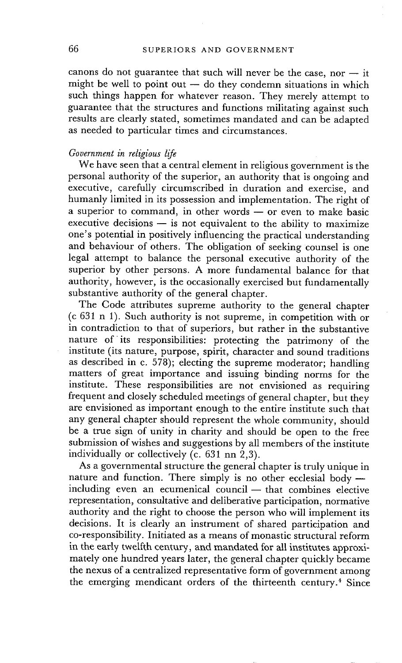canons do not guarantee that such will never be the case, nor  $-$  it might be well to point out  $-$  do they condemn situations in which such things happen for whatever reason. They merely attempt to guarantee that the structures and functions militating against such results are clearly stated, sometimes mandated and can be adapted as needed to particular times and circumstances.

### *Government in religious life*

We have seen that a central element in religious government is the personal authority of the superior, an authority that is ongoing and executive, carefully circumscribed in duration and exercise, and humanly limited in its possession and implementation. The right of a superior to command, in other words -- or even to make basic  $e$ xecutive decisions  $-$  is not equivalent to the ability to maximize one's potential in positively influencing the practical understanding and behaviour of others. The obligation of seeking counsel is one legal attempt to balance the personal executive authority of the superior by other persons. A more fundamental balance for that authority, however, is the occasionally exercised but fundamentally substantive authority of the general chapter.

The Code attributes supreme authority to the general chapter (c 631 n 1). Such authority is not supreme, in competition with or in contradiction to that of superiors, but rather in the substantive nature of its responsibilities: protecting the patrimony of the institute (its nature, purpose, spirit, character and sound traditions as described in c. 578); electing the supreme moderator; handling matters of great importance and issuing binding norms for the institute. These responsibilities are not envisioned as requiring frequent and closely scheduled meetings of general chapter, but they are envisioned as important enough to the entire institute such that any general chapter should represent the whole community, should be a true sign of unity in charity and should be open to the free submission of wishes and suggestions by all members of the institute individually or collectively (c. 631 nn 2,3).

As a governmental structure the general chapter is truly unique in nature and function. There simply is no other ecclesial body  $$  $including even an equamental council - that combines electric$ representation, consultative and deliberative participation, normative authority and the right to choose the person who will implement its decisions. It is clearly an instrument of shared participation and co-responsibility. Initiated as a means of monastic structural reform in the early twelfth century, and mandated for all institutes approximately one hundred years later, the general chapter quickly became the nexus of a centralized representative form of government among the emerging mendicant orders of the thirteenth century.<sup>4</sup> Since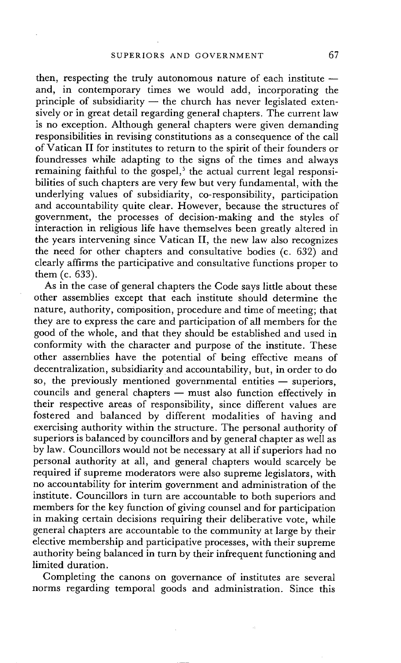then, respecting the truly autonomous nature of each institute  $$ and, in contemporary times we would add, incorporating the principle of subsidiarity  $-$  the church has never legislated extensively or in great detail regarding general chapters. The current law is no exception. Although general chapters were given demanding responsibilities in revising constitutions as a consequence of the call of Vatican II for institutes to return to the spirit of their founders or foundresses while adapting to the signs of the times and always remaining faithful to the gospel,<sup>5</sup> the actual current legal responsibilities of such chapters are very few but very fundamental, with the underlying values of subsidiarity, co-responsibility, participation and accountability quite clear. However, because the structures of government, the processes of decision-making and the styles of interaction in religious life have themselves been greatly altered in the years intervening since Vatican II, the new law also recognizes the need for other chapters and consultative bodies (c. 632) and clearly affirms the participative and consultative functions proper to them (c. 633).

As in the case of general chapters the Code says little about these other assemblies except that each institute should determine the nature, authority, composition, procedure and time of meeting; that they are to express the care and participation of all members for the good of the whole, and that they should be established and used in conformity with the character and purpose of the institute. These other assemblies have the potential of being effective means of decentralization, subsidiarity and accountability, but, in order to do so, the previously mentioned governmental entities  $-$  superiors, councils and general chapters  $-$  must also function effectively in their respective areas of responsibility, since different values are fostered and balanced by different modalities of having and exercising authority within the structure. The personal authority of superiors is balanced by councillors and by general chapter as well as by law. Councillors would not be necessary at all if superiors had no personal authority at all, and general chapters would scarcely be required if supreme moderators were also supreme legislators, with no accountability for interim government and administration of the institute. Councillors in turn are accountable to both superiors and members for the key function of giving counsel and for participation in making certain decisions requiring their deliberative vote, while general chapters are accountable to the community at large by their elective membership and participative processes, with their supreme authority being balanced in turn by their infrequent functioning and limited duration.

Completing the canons on governance of institutes are several norms regarding temporal goods and administration. Since this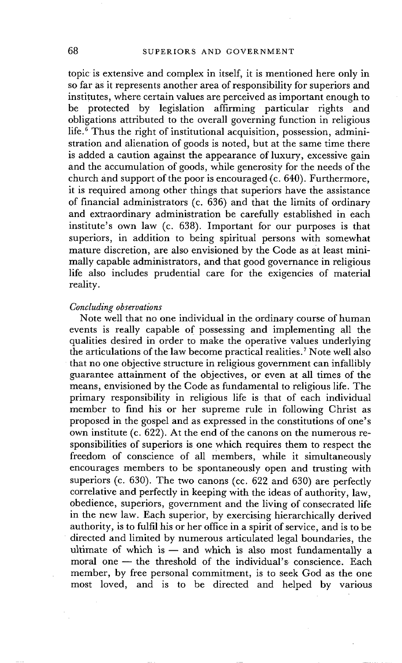topic is extensive and complex in itself, it is mentioned here only in so far as it represents another area of responsibility for superiors and institutes, where certain values are perceived as important enough to be protected by legislation affirming particular rights and obligations attributed to the overall governing function in religious life.<sup>6</sup> Thus the right of institutional acquisition, possession, administration and alienation of goods is noted, but at the same time there is added a caution against the appearance of luxury, excessive gain and the accumulation of goods, while generosity for the needs of the church and support of the poor is encouraged (c. 640). Furthermore, it is required among other things that superiors have the assistance of financial administrators (c. 636) and that the limits of ordinary and extraordinary administration be carefully established in each institute's own law (c. 638). Important for our purposes is that superiors, in addition to being spiritual persons with somewhat mature discretion, are also envisioned by the Code as at least minimally capable administrators, and that good governance in religious life also includes prudential care for the exigencies of material reality.

#### *Concluding observations*

Note well that no one individual in the ordinary course of human events is really capable of possessing and implementing all the qualities desired in order to make the operative values underlying the articulations of the law become practical realities. 7 Note well also that no one objective structure in religious government can infallibly guarantee attainment of the objectives, or even at all times of the means, envisioned by the Code as fundamental to religious life. The primary responsibility in religious life is that of each individual member to find his or her supreme rule in following Christ as proposed in the gospel and as expressed in the constitutions of one's own institute (c. 622). At the end of the canons on the numerous responsibilities of superiors is one which requires them to respect the freedom of conscience of all members, while it simultaneously encourages members to be spontaneously open and trusting with superiors (c. 630). The two canons (cc. 622 and 630) are perfectly correlative and perfectly in keeping with the ideas of authority, law, obedience, superiors, government and the living of consecrated life in the new law. Each superior, by exercising hierarchically derived authority, is to fulfil his or her office in a spirit of service, and is to be directed and limited by numerous articulated legal boundaries, the ultimate of which is  $-$  and which is also most fundamentally a moral one  $-$  the threshold of the individual's conscience. Each member, by free personal commitment, is to seek God as the one most loved, and is to be directed and helped by various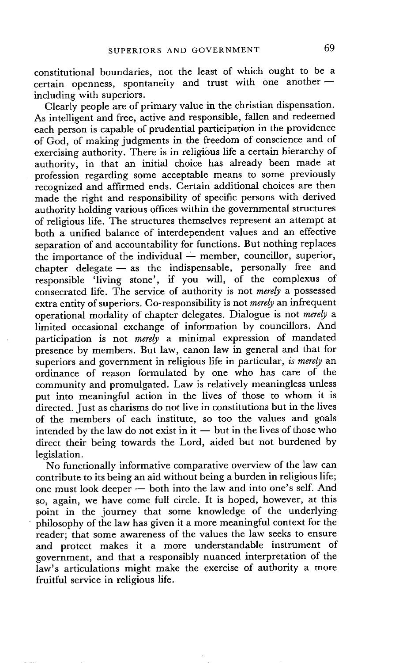constitutional boundaries, not the least of which ought to be a certain openness, spontaneity and trust with one another  $$ including with superiors.

Clearly people are of primary value in the christian dispensation. As intelligent and free, active and responsible, fallen and redeemed each person is capable of prudential participation in the providence of God, of making judgments in the freedom of conscience and of exercising authority. There is in religious life a certain hierarchy of authority, in that an initial choice has already been made at profession regarding some acceptable means to some previously recognized and affirmed ends. Certain additional choices are then made the right and responsibility of specific persons with derived authority holding various offices within the governmental structures of religious life. The structures themselves represent an attempt at both a unified balance of interdependent values and an effective separation of and accountability for functions. But nothing replaces the importance of the individual  $\frac{1}{2}$  member, councillor, superior,  $chapter$  delegate  $-$  as the indispensable, personally free and responsible 'living stone', if you will, of the complexus of consecrated life. The service of authority is not *merely* a possessed extra entity of superiors. Co-responsibility is not *merely* an infrequent operational modality of chapter delegates. Dialogue is not *merely a*  limited occasional exchange of information by councillors. And participation is not *merely* a minimal expression of mandated presence by members. But law, canon law in general and that for superiors and government in religious life in particular, *is merely* an ordinance of reason formulated by one who has care of the community and promulgated. Law is relatively meaningless unless put into meaningful action in the lives of those to whom it is directed. Just as charisms do not live in constitutions but in the lives of the members of each institute, so too the values and goals intended by the law do not exist in it  $-$  but in the lives of those who direct their being towards the Lord, aided but not burdened by legislation.

No functionally informative comparative overview of the law can contribute to its being an aid without being a burden in religious life; one must look deeper  $-$  both into the law and into one's self. And so, again, we have come full circle. It is hoped, however, at this point in the journey that some knowledge of the underlying • philosophy of the law has given it a more meaningful context for the reader; that some awareness of the values the law seeks to ensure and protect makes it a more understandable instrument of government, and that a responsibly nuanced interpretation of the law's articulations might make the exercise of authority a more fruitful service in religious life.